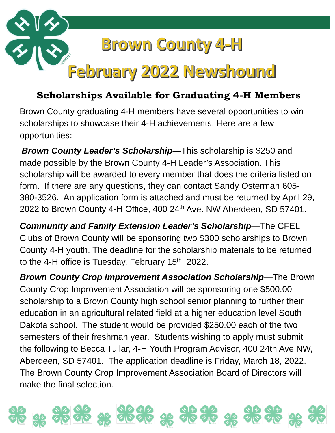

# **Scholarships Available for Graduating 4-H Members**

Brown County graduating 4-H members have several opportunities to win scholarships to showcase their 4-H achievements! Here are a few opportunities:

*Brown County Leader's Scholarship*—This scholarship is \$250 and made possible by the Brown County 4-H Leader's Association. This scholarship will be awarded to every member that does the criteria listed on form. If there are any questions, they can contact Sandy Osterman 605- 380-3526. An application form is attached and must be returned by April 29, 2022 to Brown County 4-H Office, 400 24<sup>th</sup> Ave. NW Aberdeen, SD 57401.

*Community and Family Extension Leader's Scholarship*—The CFEL Clubs of Brown County will be sponsoring two \$300 scholarships to Brown County 4-H youth. The deadline for the scholarship materials to be returned to the 4-H office is Tuesday, February  $15<sup>th</sup>$ , 2022.

*Brown County Crop Improvement Association Scholarship*—The Brown County Crop Improvement Association will be sponsoring one \$500.00 scholarship to a Brown County high school senior planning to further their education in an agricultural related field at a higher education level South Dakota school. The student would be provided \$250.00 each of the two semesters of their freshman year. Students wishing to apply must submit the following to Becca Tullar, 4-H Youth Program Advisor, 400 24th Ave NW, Aberdeen, SD 57401. The application deadline is Friday, March 18, 2022. The Brown County Crop Improvement Association Board of Directors will make the final selection.

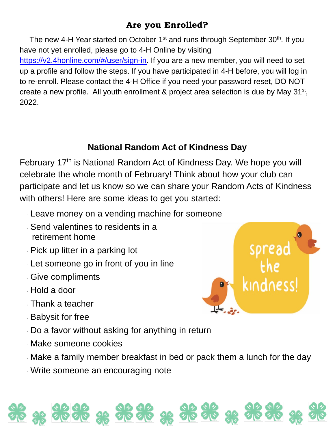## **Are you Enrolled?**

The new 4-H Year started on October  $1<sup>st</sup>$  and runs through September 30<sup>th</sup>. If you have not yet enrolled, please go to 4-H Online by visiting [https://v2.4honline.com/#/user/sign-in.](https://v2.4honline.com/#/user/sign-in) If you are a new member, you will need to set up a profile and follow the steps. If you have participated in 4-H before, you will log in to re-enroll. Please contact the 4-H Office if you need your password reset, DO NOT create a new profile. All youth enrollment & project area selection is due by May  $31<sup>st</sup>$ , 2022.

### **National Random Act of Kindness Day**

February 17<sup>th</sup> is National Random Act of Kindness Day. We hope you will celebrate the whole month of February! Think about how your club can participate and let us know so we can share your Random Acts of Kindness with others! Here are some ideas to get you started:

- · Leave money on a vending machine for someone
- · Send valentines to residents in a retirement home
- · Pick up litter in a parking lot
- · Let someone go in front of you in line
- · Give compliments
- · Hold a door
- · Thank a teacher
- · Babysit for free
- · Do a favor without asking for anything in return
- · Make someone cookies
- · Make a family member breakfast in bed or pack them a lunch for the day

 $22$ 

· Write someone an encouraging note

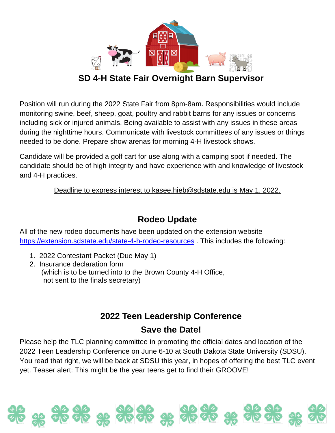

#### **SD 4-H State Fair Overnight Barn Supervisor**

Position will run during the 2022 State Fair from 8pm-8am. Responsibilities would include monitoring swine, beef, sheep, goat, poultry and rabbit barns for any issues or concerns including sick or injured animals. Being available to assist with any issues in these areas during the nighttime hours. Communicate with livestock committees of any issues or things needed to be done. Prepare show arenas for morning 4-H livestock shows.

Candidate will be provided a golf cart for use along with a camping spot if needed. The candidate should be of high integrity and have experience with and knowledge of livestock and 4-H practices.

Deadline to express interest to kasee.hieb@sdstate.edu is May 1, 2022.

### **Rodeo Update**

All of the new rodeo documents have been updated on the extension website <https://extension.sdstate.edu/state-4-h-rodeo-resources> . This includes the following:

- 1. 2022 Contestant Packet (Due May 1)
- 2. Insurance declaration form (which is to be turned into to the Brown County 4-H Office, not sent to the finals secretary)

# **2022 Teen Leadership Conference Save the Date!**

Please help the TLC planning committee in promoting the official dates and location of the 2022 Teen Leadership Conference on June 6-10 at South Dakota State University (SDSU). You read that right, we will be back at SDSU this year, in hopes of offering the best TLC event yet. Teaser alert: This might be the year teens get to find their GROOVE!

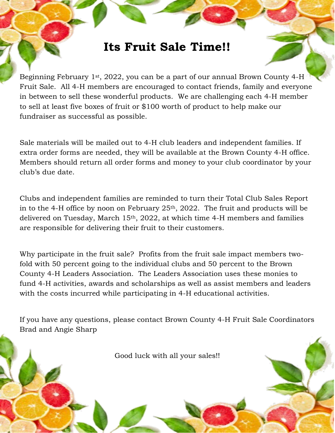# **Its Fruit Sale Time!!**

Beginning February 1st, 2022, you can be a part of our annual Brown County 4-H Fruit Sale. All 4-H members are encouraged to contact friends, family and everyone in between to sell these wonderful products. We are challenging each 4-H member to sell at least five boxes of fruit or \$100 worth of product to help make our fundraiser as successful as possible.

Sale materials will be mailed out to 4-H club leaders and independent families. If extra order forms are needed, they will be available at the Brown County 4-H office. Members should return all order forms and money to your club coordinator by your club's due date.

Clubs and independent families are reminded to turn their Total Club Sales Report in to the 4-H office by noon on February  $25<sup>th</sup>$ ,  $2022$ . The fruit and products will be delivered on Tuesday, March 15th, 2022, at which time 4-H members and families are responsible for delivering their fruit to their customers.

Why participate in the fruit sale? Profits from the fruit sale impact members twofold with 50 percent going to the individual clubs and 50 percent to the Brown County 4-H Leaders Association. The Leaders Association uses these monies to fund 4-H activities, awards and scholarships as well as assist members and leaders with the costs incurred while participating in 4-H educational activities.

If you have any questions, please contact Brown County 4-H Fruit Sale Coordinators Brad and Angie Sharp

Good luck with all your sales!!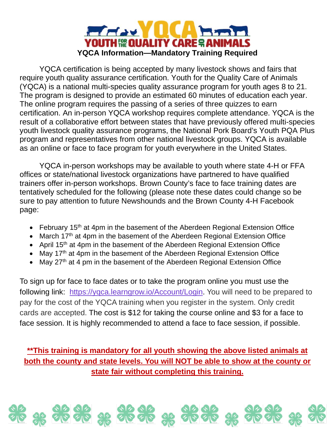

YQCA certification is being accepted by many livestock shows and fairs that require youth quality assurance certification. Youth for the Quality Care of Animals (YQCA) is a national multi-species quality assurance program for youth ages 8 to 21. The program is designed to provide an estimated 60 minutes of education each year. The online program requires the passing of a series of three quizzes to earn certification. An in-person YQCA workshop requires complete attendance. YQCA is the result of a collaborative effort between states that have previously offered multi-species youth livestock quality assurance programs, the National Pork Board's Youth PQA Plus program and representatives from other national livestock groups. YQCA is available as an online or face to face program for youth everywhere in the United States.

YQCA in-person workshops may be available to youth where state 4-H or FFA offices or state/national livestock organizations have partnered to have qualified trainers offer in-person workshops. Brown County's face to face training dates are tentatively scheduled for the following (please note these dates could change so be sure to pay attention to future Newshounds and the Brown County 4-H Facebook page:

- February 15<sup>th</sup> at 4pm in the basement of the Aberdeen Regional Extension Office
- March 17<sup>th</sup> at 4pm in the basement of the Aberdeen Regional Extension Office
- April 15<sup>th</sup> at 4pm in the basement of the Aberdeen Regional Extension Office
- May 17<sup>th</sup> at 4pm in the basement of the Aberdeen Regional Extension Office
- May 27<sup>th</sup> at 4 pm in the basement of the Aberdeen Regional Extension Office

To sign up for face to face dates or to take the program online you must use the following link: [https://yqca.learngrow.io/Account/Login.](https://yqca.learngrow.io/Account/Login) You will need to be prepared to pay for the cost of the YQCA training when you register in the system. Only credit cards are accepted. The cost is \$12 for taking the course online and \$3 for a face to face session. It is highly recommended to attend a face to face session, if possible.

#### **\*\*This training is mandatory for all youth showing the above listed animals at both the county and state levels. You will NOT be able to show at the county or state fair without completing this training.**

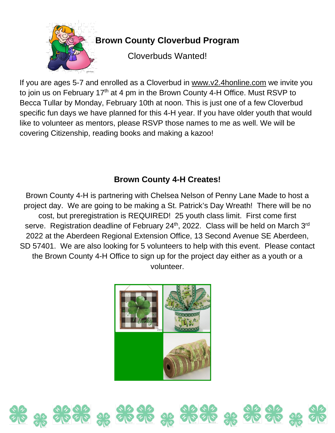

If you are ages 5-7 and enrolled as a Cloverbud in [www.v2.4honline.com](http://www.v2.4honline.com/) we invite you to join us on February 17<sup>th</sup> at 4 pm in the Brown County 4-H Office. Must RSVP to Becca Tullar by Monday, February 10th at noon. This is just one of a few Cloverbud specific fun days we have planned for this 4-H year. If you have older youth that would like to volunteer as mentors, please RSVP those names to me as well. We will be covering Citizenship, reading books and making a kazoo!

#### **Brown County 4-H Creates!**

Brown County 4-H is partnering with Chelsea Nelson of Penny Lane Made to host a project day. We are going to be making a St. Patrick's Day Wreath! There will be no cost, but preregistration is REQUIRED! 25 youth class limit. First come first serve. Registration deadline of February 24<sup>th</sup>, 2022. Class will be held on March 3<sup>rd</sup> 2022 at the Aberdeen Regional Extension Office, 13 Second Avenue SE Aberdeen, SD 57401. We are also looking for 5 volunteers to help with this event. Please contact the Brown County 4-H Office to sign up for the project day either as a youth or a volunteer.



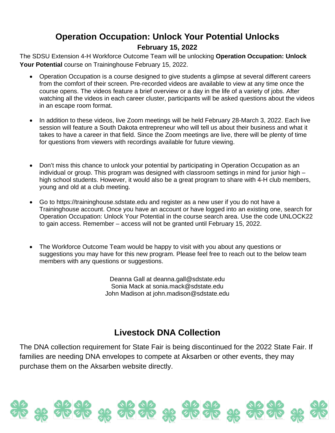#### **Operation Occupation: Unlock Your Potential Unlocks February 15, 2022**

The SDSU Extension 4-H Workforce Outcome Team will be unlocking **Operation Occupation: Unlock Your Potential** course on Traininghouse February 15, 2022.

- Operation Occupation is a course designed to give students a glimpse at several different careers from the comfort of their screen. Pre-recorded videos are available to view at any time once the course opens. The videos feature a brief overview or a day in the life of a variety of jobs. After watching all the videos in each career cluster, participants will be asked questions about the videos in an escape room format.
- In addition to these videos, live Zoom meetings will be held February 28-March 3, 2022. Each live session will feature a South Dakota entrepreneur who will tell us about their business and what it takes to have a career in that field. Since the Zoom meetings are live, there will be plenty of time for questions from viewers with recordings available for future viewing.
- Don't miss this chance to unlock your potential by participating in Operation Occupation as an individual or group. This program was designed with classroom settings in mind for junior high – high school students. However, it would also be a great program to share with 4-H club members, young and old at a club meeting.
- Go to https://traininghouse.sdstate.edu and register as a new user if you do not have a Traininghouse account. Once you have an account or have logged into an existing one, search for Operation Occupation: Unlock Your Potential in the course search area. Use the code UNLOCK22 to gain access. Remember – access will not be granted until February 15, 2022.
- The Workforce Outcome Team would be happy to visit with you about any questions or suggestions you may have for this new program. Please feel free to reach out to the below team members with any questions or suggestions.

Deanna Gall at deanna.gall@sdstate.edu Sonia Mack at sonia.mack@sdstate.edu John Madison at john.madison@sdstate.edu

#### **Livestock DNA Collection**

The DNA collection requirement for State Fair is being discontinued for the 2022 State Fair. If families are needing DNA envelopes to compete at Aksarben or other events, they may purchase them on the Aksarben website directly.

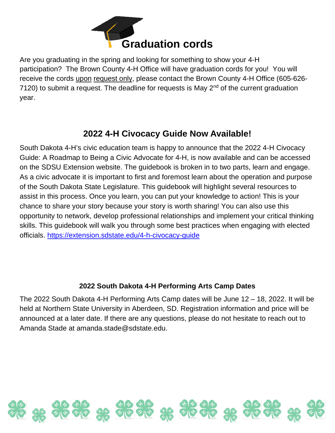

Are you graduating in the spring and looking for something to show your 4-H participation? The Brown County 4-H Office will have graduation cords for you! You will receive the cords upon request only, please contact the Brown County 4-H Office (605-626- 7120) to submit a request. The deadline for requests is May  $2<sup>nd</sup>$  of the current graduation year.

#### **2022 4-H Civocacy Guide Now Available!**

South Dakota 4-H's civic education team is happy to announce that the 2022 4-H Civocacy Guide: A Roadmap to Being a Civic Advocate for 4-H, is now available and can be accessed on the SDSU Extension website. The guidebook is broken in to two parts, learn and engage. As a civic advocate it is important to first and foremost learn about the operation and purpose of the South Dakota State Legislature. This guidebook will highlight several resources to assist in this process. Once you learn, you can put your knowledge to action! This is your chance to share your story because your story is worth sharing! You can also use this opportunity to network, develop professional relationships and implement your critical thinking skills. This guidebook will walk you through some best practices when engaging with elected officials.<https://extension.sdstate.edu/4-h-civocacy-guide>

#### **2022 South Dakota 4-H Performing Arts Camp Dates**

The 2022 South Dakota 4-H Performing Arts Camp dates will be June 12 – 18, 2022. It will be held at Northern State University in Aberdeen, SD. Registration information and price will be announced at a later date. If there are any questions, please do not hesitate to reach out to Amanda Stade at amanda.stade@sdstate.edu.